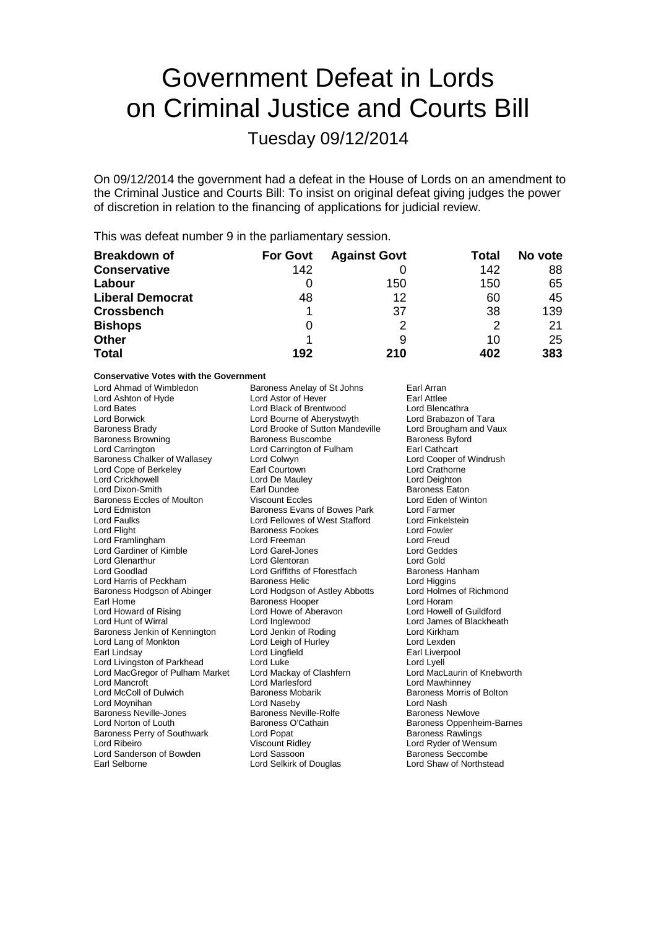# Government Defeat in Lords on Criminal Justice and Courts Bill

Tuesday 09/12/2014

On 09/12/2014 the government had a defeat in the House of Lords on an amendment to the Criminal Justice and Courts Bill: To insist on original defeat giving judges the power of discretion in relation to the financing of applications for judicial review.

This was defeat number 9 in the parliamentary session.

| <b>Breakdown of</b>     | <b>For Govt</b> | <b>Against Govt</b> | Total | No vote |
|-------------------------|-----------------|---------------------|-------|---------|
| <b>Conservative</b>     | 142             |                     | 142   | 88      |
| Labour                  |                 | 150                 | 150   | 65      |
| <b>Liberal Democrat</b> | 48              | 12                  | 60    | 45      |
| <b>Crossbench</b>       |                 | 37                  | 38    | 139     |
| <b>Bishops</b>          | 0               | 2                   | 2     | 21      |
| <b>Other</b>            |                 | 9                   | 10    | 25      |
| <b>Total</b>            | 192             | 210                 | 402   | 383     |

**Conservative Votes with the Government**

| Lord Ahmad of Wimbledon           | Baroness Anelay of St Johns      | Earl Arran                  |
|-----------------------------------|----------------------------------|-----------------------------|
| Lord Ashton of Hyde               | Lord Astor of Hever              | Earl Attlee                 |
| Lord Bates                        | Lord Black of Brentwood          | Lord Blencathra             |
| Lord Borwick                      | Lord Bourne of Aberystwyth       | Lord Brabazon of Tara       |
| <b>Baroness Brady</b>             | Lord Brooke of Sutton Mandeville | Lord Brougham and Vaux      |
| <b>Baroness Browning</b>          | <b>Baroness Buscombe</b>         | <b>Baroness Byford</b>      |
| Lord Carrington                   | Lord Carrington of Fulham        | Earl Cathcart               |
| Baroness Chalker of Wallasey      | Lord Colwyn                      | Lord Cooper of Windrush     |
| Lord Cope of Berkeley             | Earl Courtown                    | <b>Lord Crathorne</b>       |
| <b>Lord Crickhowell</b>           | Lord De Mauley                   | Lord Deighton               |
| Lord Dixon-Smith                  | Earl Dundee                      | <b>Baroness Eaton</b>       |
| <b>Baroness Eccles of Moulton</b> | <b>Viscount Eccles</b>           | Lord Eden of Winton         |
| Lord Edmiston                     | Baroness Evans of Bowes Park     | Lord Farmer                 |
| Lord Faulks                       | Lord Fellowes of West Stafford   | Lord Finkelstein            |
| Lord Flight                       | <b>Baroness Fookes</b>           | Lord Fowler                 |
| Lord Framlingham                  | Lord Freeman                     | <b>Lord Freud</b>           |
| Lord Gardiner of Kimble           | Lord Garel-Jones                 | <b>Lord Geddes</b>          |
| Lord Glenarthur                   | Lord Glentoran                   | Lord Gold                   |
| Lord Goodlad                      | Lord Griffiths of Fforestfach    | Baroness Hanham             |
| Lord Harris of Peckham            | <b>Baroness Helic</b>            | Lord Higgins                |
| Baroness Hodgson of Abinger       | Lord Hodgson of Astley Abbotts   | Lord Holmes of Richmond     |
| Earl Home                         | <b>Baroness Hooper</b>           | Lord Horam                  |
| Lord Howard of Rising             | Lord Howe of Aberavon            | Lord Howell of Guildford    |
| Lord Hunt of Wirral               | Lord Inglewood                   | Lord James of Blackheath    |
| Baroness Jenkin of Kennington     | Lord Jenkin of Roding            | Lord Kirkham                |
| Lord Lang of Monkton              | Lord Leigh of Hurley             | Lord Lexden                 |
| Earl Lindsay                      | Lord Lingfield                   | Earl Liverpool              |
| Lord Livingston of Parkhead       | Lord Luke                        | Lord Lyell                  |
| Lord MacGregor of Pulham Market   | Lord Mackay of Clashfern         | Lord MacLaurin of Knebworth |
| Lord Mancroft                     | Lord Marlesford                  | Lord Mawhinney              |
| Lord McColl of Dulwich            | <b>Baroness Mobarik</b>          | Baroness Morris of Bolton   |
| Lord Moynihan                     | Lord Naseby                      | Lord Nash                   |
| <b>Baroness Neville-Jones</b>     | Baroness Neville-Rolfe           | Baroness Newlove            |
| Lord Norton of Louth              | Baroness O'Cathain               | Baroness Oppenheim-Barnes   |
| Baroness Perry of Southwark       | Lord Popat                       | <b>Baroness Rawlings</b>    |
| Lord Ribeiro                      | <b>Viscount Ridley</b>           | Lord Ryder of Wensum        |
| Lord Sanderson of Bowden          | Lord Sassoon                     | <b>Baroness Seccombe</b>    |
| Earl Selborne                     | Lord Selkirk of Douglas          | Lord Shaw of Northstead     |
|                                   |                                  |                             |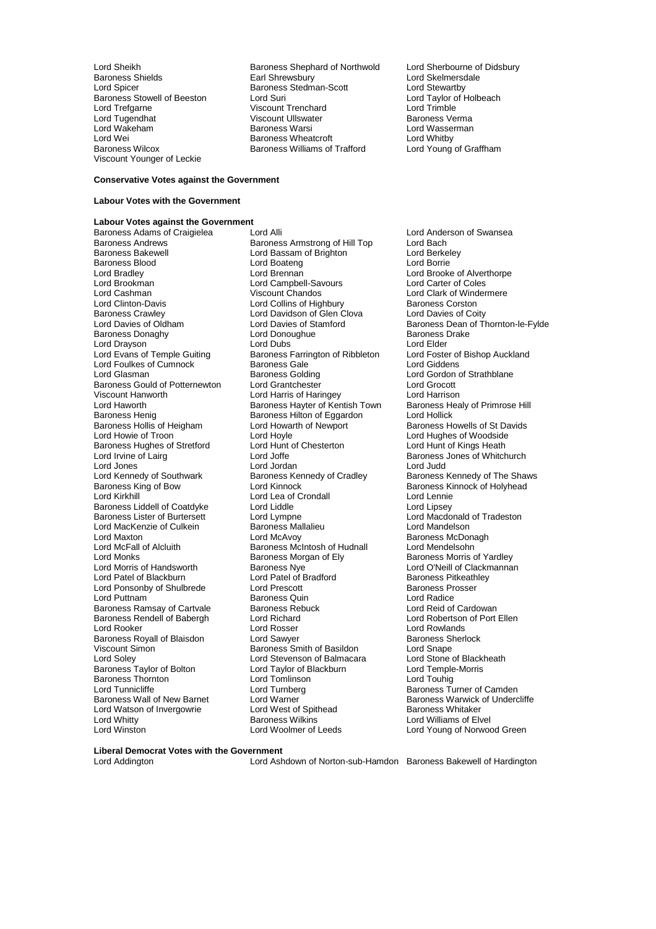Viscount Younger of Leckie

Lord Sheikh Baroness Shephard of Northwold Lord Sherbourne of Didsbury<br>Baroness Shields Earl Shrewsbury Lord Skelmersdale Baroness Shields Earl Shrewsbury Lord Skelmersdale<br>
Lord Spicer Baroness Stedman-Scott Lord Stewartby<br>
Baroness Stowell of Beeston Lord Suri Lord Taylor of Holbeach Baroness Stedman-Scott<br>Lord Suri Baroness Stowell of Beeston Lord Suri Lord Taylor of Taylor of Holbeach Lord Taylor of Lord Trimble<br>
Lord Trefgarne Corol Corol Corol Corol Corol Corol Corol Corol Corol Corol Corol Corol Corol Corol Corol Coro Lord Trefgarne Viscount Trenchard Lord Trimble Viscount Ullswater **Charles Community** Baroness Verma<br>
Baroness Warsi **Baroness Verman** Lord Wakeham **Baroness Warsi Cord Wasser Cord Wasser**<br>
Lord Wei **Cord Wei**<br>
Baroness Wheatcroft **Cord Whitby** Lord Wei **Communist Communist Communist Communist Communist Communist Communist Communist Communist Communist Communist Communist Communist Communist Communist Communist Communist Communist Communist Communist Communist Co** Baroness Williams of Trafford

#### **Conservative Votes against the Government**

## **Labour Votes with the Government**

**Labour Votes against the Government** Baroness Adams of Craigielea Lord Alli Lord Anderson of Swansea<br>Baroness Andrews Baroness Armstrong of Hill Top Lord Bach Baroness Andrews **Baroness Armstrong of Hill Top** Lord Bach<br>Baroness Bakewell **Baroness Armstrong of Brighton** Lord Berkelev Baroness Blood and Lord Boateng<br>
Lord Bradley **Lord Brennan** Lord Bradley Lord Brennan Lord Brooke of Alverthorpe Lord Brookman Lord Campbell-Savours Lord Carter of Coles Lord Cashman Viscount Chandos Lord Clark of Windermere Lord Clinton-Davis **Lord Collins of Highbury** Baroness Corston<br>
Baroness Crawley **Baroness Crawley** Lord Davidson of Glen Clova Lord Davies of Coity Baroness Crawley **Lord Davidson of Glen Clova**<br>
Lord Davies of Oldham **Lord Davies of Stamford** Baroness Donaghy **Baroness I Lord Donoughue** Baroness I Lord Drake Baroness I Lord Blues<br>
Lord Drayson **Baroness** Lord Dubs **Contains I Lord Elder** Lord Drayson Lord Dubs<br>
Lord Evans of Temple Guiting Baroness Farrington of Ribbleton Lord Foster of Bishop Auckland Lord Foulkes of Cumnock<br>
Lord Glasman 
Baroness Golding Baroness Gould of Potternewton Lord Grantchester Lord Grocott University Communisty Communisty Communisty Communisty Communisty Communisty Communisty Communisty Communisty<br>Lord Harworth Lord Harris of Harris of Harringey Lord Harrison<br>Lord Harworth Baroness Hayter of Kentish Town Bar Lord Haworth **Baroness Hayter of Kentish Town** Baroness Health Baroness Health Baroness Healy Baroness Hilton of Eggardon Baroness Hollis of Heigham<br>Lord Howie of Troon Baroness Hughes of Stretford Lord Hunt Lord Irvine of Laira Lord Jones Corporation Lord Jordan Lord Cradley<br>
Lord Kennedy of Southwark Baroness Kennedy of Cradley Lord Kennedy of Southwark **Baroness Kennedy of Cradley** Baroness Kennedy of The Shaws<br>Baroness King of Bow **Baroness Kennedy Action** Baroness Kinnock of Holyhead Baroness King of Bow Lord Kinnock Corresponding the Baroness Kinnock of Holyhead<br>
Lord Kirkhill Corresponding Lord Lea of Crondall Baroness Liddell of Coatdyke Lord Liddle<br>
Baroness Lister of Burtersett Lord Lympne Lord MacKenzie of Culkein Baroness Ma<br>Lord Maxton Baroness Mandelson Lord Maxton **Communist Communist Communist Communist Communist Communist Communist Communist Communist Communist Communist Communist Communist Communist Communist Communist Communist Communist Communist Communist Communist** Lord McFall of Alcluith Baroness McIntosh of Hudnall<br>
Lord Monks Corp Baroness Morgan of Ely Lord Monks<br>
Lord Morris of Handsworth **Baroness Morgan of Ely** Baroness Morris of Yardley<br>
Lord O'Neill of Clackmannai Lord Patel of Blackburn Lord Patel of Bradford Baroness Pitkeath<br>
Lord Ponsonby of Shulbrede Lord Prescott Baroness Prosser Lord Ponsonby of Shulbrede Lord Prescott **Baroness Provide Baroness Provide Baroness Provide Baroness Provide Baroness Provide Baroness Provide Baroness Provide Baroness Provide Baroness Provide Baroness Quin** Baroness Ramsay of Cartvale Baroness Rebuck Lord Reid of Cardowan Baroness Rendell of Babergh Lord Richard<br>Lord Rooker Cord Election of Port Election Cord Election of Port Election of Port Election Cord Election of Po Baroness Royall of Blaisdon **Lord Sawyer** Lord Say Baroness Sherlocks Baroness Sherlocks Sherlocks Sherlocks Sher<br>
Lord Shape Baroness Smith of Basildon Lord Shape Viscount Simon **Baroness** Smith of Basildon **Lord Snape**<br>
Lord Soley **Conditional Lord Stevenson of Balmacara** Lord Stone of Blackheath Baroness Taylor of Bolton Lord Taylor of B<br>Baroness Thornton Lord Tomlinson Baroness Thornton Lord Tomlinson<br>
Lord Tunnicliffe Lord Turnberg Lord Tunnicliffe Lord Turnberg Baroness Turner of Camden Lord Watson of Invergowrie Lord West of Spithead Baroness Wilkins<br>Lord Whitty Baroness Wilkins Lord Whitty **Lord Williams of Elvel**<br>
Lord Winston **Lord Williams Communist Communist Communist Communist Communist Communist Communist Communist Communist Communist Communist Communist Communist Communist Communist Commun** 

Lord Bassam of Brighton Lord Berkel<br>
Lord Boateng Lord Borrie Baroness Farrington of Ribbleton Lord Foster of Baroness Gale<br>
Lord Giddens Lord Glasman Baroness Golding Lord Gordon of Strathblane Baroness Hilton of Eggardon Lord Hollick<br>
Lord Howarth of Newport Baroness Howells of St Davids Lord Hoyle<br>
Lord Hunt of Chesterton<br>
Lord Hunt of Kings Heath Lord Joffe **Contains Community Contains Container** Baroness Jones of Whitchurch<br>
Lord Jordan **Baroness** Lord Judd Lord Lea of Crondall Lord Lennie<br>
Lord Liddle Lord Lipsey Lord Lympne<br>Baroness Mallalieu **Burtersett Lord Mandelson**<br>Lord Mandelson **Baroness Nye Lord O'Neill of Clackmannan**<br>
Lord Patel of Bradford<br>
Baroness Pitkeathley Baroness Quin<br>
Baroness Rebuck<br>
Lord Reid of Cardowan Lord Rosser **Lord Rowlands**<br>
Lord Sawyer **Lord Rowlands**<br>
Baroness Sherlock Lord Stevenson of Balmacara Lord Stone of Black<br>
Lord Taylor of Blackburn Lord Temple-Morris Lord Warner **Baroness Warwick of Undercliffe**<br>
Lord West of Spithead **Baroness Whitaker** 

Lord Davies of Oldham Lord Davies of Stamford Baroness Dean of Thornton-le-Fylde Lord Young of Norwood Green

**Liberal Democrat Votes with the Government**

Lord Addington Lord Ashdown of Norton-sub-Hamdon Baroness Bakewell of Hardington